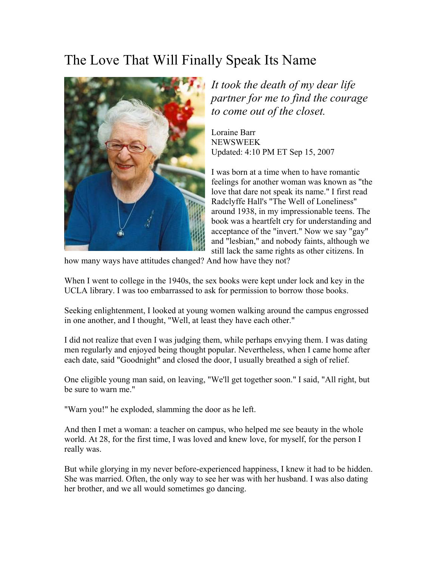## The Love That Will Finally Speak Its Name



*It took the death of my dear life partner for me to find the courage to come out of the closet.* 

Loraine Barr NEWSWEEK Updated: 4:10 PM ET Sep 15, 2007

I was born at a time when to have romantic feelings for another woman was known as "the love that dare not speak its name." I first read Radclyffe Hall's "The Well of Loneliness" around 1938, in my impressionable teens. The book was a heartfelt cry for understanding and acceptance of the "invert." Now we say "gay" and "lesbian," and nobody faints, although we still lack the same rights as other citizens. In

how many ways have attitudes changed? And how have they not?

When I went to college in the 1940s, the sex books were kept under lock and key in the UCLA library. I was too embarrassed to ask for permission to borrow those books.

Seeking enlightenment, I looked at young women walking around the campus engrossed in one another, and I thought, "Well, at least they have each other."

I did not realize that even I was judging them, while perhaps envying them. I was dating men regularly and enjoyed being thought popular. Nevertheless, when I came home after each date, said "Goodnight" and closed the door, I usually breathed a sigh of relief.

One eligible young man said, on leaving, "We'll get together soon." I said, "All right, but be sure to warn me."

"Warn you!" he exploded, slamming the door as he left.

And then I met a woman: a teacher on campus, who helped me see beauty in the whole world. At 28, for the first time, I was loved and knew love, for myself, for the person I really was.

But while glorying in my never before-experienced happiness, I knew it had to be hidden. She was married. Often, the only way to see her was with her husband. I was also dating her brother, and we all would sometimes go dancing.